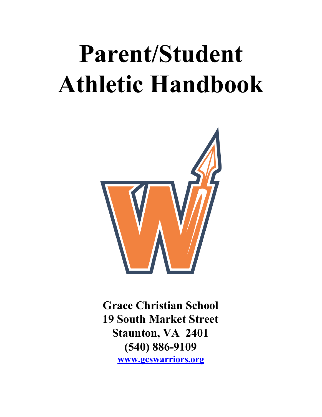# **Parent/Student Athletic Handbook**



**Grace Christian School 19 South Market Street Staunton, VA 2401 (540) 886-9109 [www.gcswarriors.org](http://www.gcswarriors.org/)**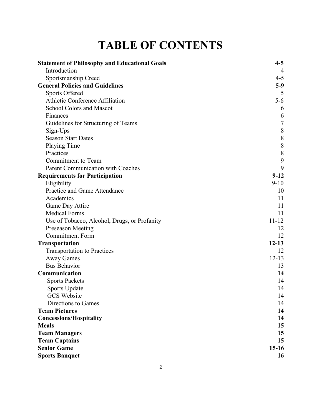## **TABLE OF CONTENTS**

| <b>Statement of Philosophy and Educational Goals</b> | $4 - 5$        |
|------------------------------------------------------|----------------|
| Introduction                                         | $\overline{4}$ |
| Sportsmanship Creed                                  | $4 - 5$        |
| <b>General Policies and Guidelines</b>               | $5-9$          |
| <b>Sports Offered</b>                                | 5              |
| <b>Athletic Conference Affiliation</b>               | 5-6            |
| <b>School Colors and Mascot</b>                      | 6              |
| Finances                                             | 6              |
| Guidelines for Structuring of Teams                  | $\sqrt{ }$     |
| Sign-Ups                                             | $\,8\,$        |
| <b>Season Start Dates</b>                            | $\,$ $\,$      |
| Playing Time                                         | 8              |
| Practices                                            | $\,$ 8 $\,$    |
| Commitment to Team                                   | 9              |
| Parent Communication with Coaches                    | 9              |
| <b>Requirements for Participation</b>                | $9-12$         |
| Eligibility                                          | $9-10$         |
| Practice and Game Attendance                         | 10             |
| Academics                                            | 11             |
| Game Day Attire                                      | 11             |
| <b>Medical Forms</b>                                 | 11             |
| Use of Tobacco, Alcohol, Drugs, or Profanity         | $11 - 12$      |
| Preseason Meeting                                    | 12             |
| <b>Commitment Form</b>                               | 12             |
| <b>Transportation</b>                                | $12 - 13$      |
| <b>Transportation to Practices</b>                   | 12             |
| <b>Away Games</b>                                    | $12 - 13$      |
| <b>Bus Behavior</b>                                  | 13             |
| Communication                                        | 14             |
| <b>Sports Packets</b>                                | 14             |
| Sports Update                                        | 14             |
| <b>GCS</b> Website                                   | 14             |
| Directions to Games                                  | 14             |
| <b>Team Pictures</b>                                 | 14             |
| <b>Concessions/Hospitality</b>                       | 14             |
| <b>Meals</b>                                         | 15             |
| <b>Team Managers</b>                                 | 15             |
| <b>Team Captains</b>                                 | 15             |
| <b>Senior Game</b>                                   | $15-16$        |
| <b>Sports Banquet</b>                                | 16             |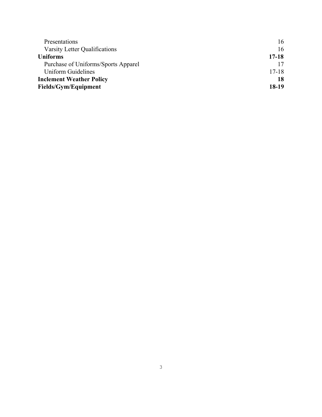| Presentations                       | 16      |
|-------------------------------------|---------|
| Varsity Letter Qualifications       | 16      |
| <b>Uniforms</b>                     | 17-18   |
| Purchase of Uniforms/Sports Apparel |         |
| <b>Uniform Guidelines</b>           | $17-18$ |
| <b>Inclement Weather Policy</b>     | 18      |
| Fields/Gym/Equipment                | 18-19   |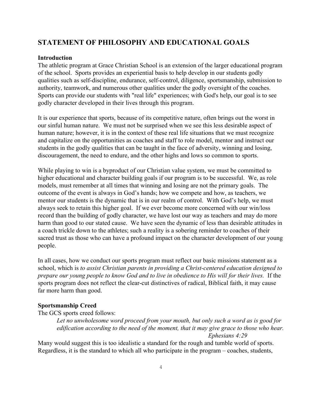### **STATEMENT OF PHILOSOPHY AND EDUCATIONAL GOALS**

#### **Introduction**

The athletic program at Grace Christian School is an extension of the larger educational program of the school. Sports provides an experiential basis to help develop in our students godly qualities such as self-discipline, endurance, self-control, diligence, sportsmanship, submission to authority, teamwork, and numerous other qualities under the godly oversight of the coaches. Sports can provide our students with "real life" experiences; with God's help, our goal is to see godly character developed in their lives through this program.

It is our experience that sports, because of its competitive nature, often brings out the worst in our sinful human nature. We must not be surprised when we see this less desirable aspect of human nature; however, it is in the context of these real life situations that we must recognize and capitalize on the opportunities as coaches and staff to role model, mentor and instruct our students in the godly qualities that can be taught in the face of adversity, winning and losing, discouragement, the need to endure, and the other highs and lows so common to sports.

While playing to win is a byproduct of our Christian value system, we must be committed to higher educational and character building goals if our program is to be successful. We, as role models, must remember at all times that winning and losing are not the primary goals. The outcome of the event is always in God's hands; how we compete and how, as teachers, we mentor our students is the dynamic that is in our realm of control. With God's help, we must always seek to retain this higher goal. If we ever become more concerned with our win/loss record than the building of godly character, we have lost our way as teachers and may do more harm than good to our stated cause. We have seen the dynamic of less than desirable attitudes in a coach trickle down to the athletes; such a reality is a sobering reminder to coaches of their sacred trust as those who can have a profound impact on the character development of our young people.

In all cases, how we conduct our sports program must reflect our basic missions statement as a school, which is *to assist Christian parents in providing a Christ-centered education designed to prepare our young people to know God and to live in obedience to His will for their lives.* If the sports program does not reflect the clear-cut distinctives of radical, Biblical faith, it may cause far more harm than good.

#### **Sportsmanship Creed**

The GCS sports creed follows:

*Let no unwholesome word proceed from your mouth, but only such a word as is good for edification according to the need of the moment, that it may give grace to those who hear. Ephesians 4:29*

Many would suggest this is too idealistic a standard for the rough and tumble world of sports. Regardless, it is the standard to which all who participate in the program – coaches, students,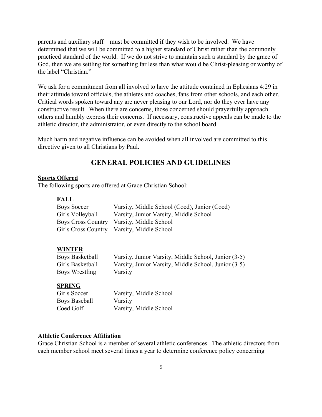parents and auxiliary staff – must be committed if they wish to be involved. We have determined that we will be committed to a higher standard of Christ rather than the commonly practiced standard of the world. If we do not strive to maintain such a standard by the grace of God, then we are settling for something far less than what would be Christ-pleasing or worthy of the label "Christian"

We ask for a commitment from all involved to have the attitude contained in Ephesians 4:29 in their attitude toward officials, the athletes and coaches, fans from other schools, and each other. Critical words spoken toward any are never pleasing to our Lord, nor do they ever have any constructive result. When there are concerns, those concerned should prayerfully approach others and humbly express their concerns. If necessary, constructive appeals can be made to the athletic director, the administrator, or even directly to the school board.

Much harm and negative influence can be avoided when all involved are committed to this directive given to all Christians by Paul.

## **GENERAL POLICIES AND GUIDELINES**

#### **Sports Offered**

The following sports are offered at Grace Christian School:

#### **FALL**

| Boys Soccer      | Varsity, Middle School (Coed), Junior (Coed) |
|------------------|----------------------------------------------|
| Girls Volleyball | Varsity, Junior Varsity, Middle School       |
|                  | Boys Cross Country Varsity, Middle School    |
|                  | Girls Cross Country Varsity, Middle School   |

#### **WINTER**

| <b>Boys Basketball</b> | Varsity, Junior Varsity, Middle School, Junior (3-5) |
|------------------------|------------------------------------------------------|
| Girls Basketball       | Varsity, Junior Varsity, Middle School, Junior (3-5) |
| Boys Wrestling         | Varsity                                              |

#### **SPRING**

| Girls Soccer  | Varsity, Middle School |
|---------------|------------------------|
| Boys Baseball | Varsity                |
| Coed Golf     | Varsity, Middle School |

#### **Athletic Conference Affiliation**

Grace Christian School is a member of several athletic conferences. The athletic directors from each member school meet several times a year to determine conference policy concerning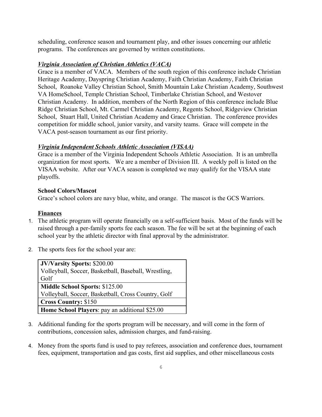scheduling, conference season and tournament play, and other issues concerning our athletic programs. The conferences are governed by written constitutions.

#### *Virginia Association of Christian Athletics (VACA)*

Grace is a member of VACA. Members of the south region of this conference include Christian Heritage Academy, Dayspring Christian Academy, Faith Christian Academy, Faith Christian School, Roanoke Valley Christian School, Smith Mountain Lake Christian Academy, Southwest VA HomeSchool, Temple Christian School, Timberlake Christian School, and Westover Christian Academy. In addition, members of the North Region of this conference include Blue Ridge Christian School, Mt. Carmel Christian Academy, Regents School, Ridgeview Christian School, Stuart Hall, United Christian Academy and Grace Christian. The conference provides competition for middle school, junior varsity, and varsity teams. Grace will compete in the VACA post-season tournament as our first priority.

#### *Virginia Independent Schools Athletic Association (VISAA)*

Grace is a member of the Virginia Independent Schools Athletic Association. It is an umbrella organization for most sports. We are a member of Division III. A weekly poll is listed on the VISAA website. After our VACA season is completed we may qualify for the VISAA state playoffs.

#### **School Colors/Mascot**

Grace's school colors are navy blue, white, and orange. The mascot is the GCS Warriors.

#### **Finances**

- 1. The athletic program will operate financially on a self-sufficient basis. Most of the funds will be raised through a per-family sports fee each season. The fee will be set at the beginning of each school year by the athletic director with final approval by the administrator.
- 2. The sports fees for the school year are:

| <b>JV/Varsity Sports: \$200.00</b>                   |
|------------------------------------------------------|
| Volleyball, Soccer, Basketball, Baseball, Wrestling, |
| Golf                                                 |
| <b>Middle School Sports: \$125.00</b>                |
| Volleyball, Soccer, Basketball, Cross Country, Golf  |
| <b>Cross Country: \$150</b>                          |
| Home School Players: pay an additional \$25.00       |
|                                                      |

- 3. Additional funding for the sports program will be necessary, and will come in the form of contributions, concession sales, admission charges, and fund-raising.
- 4. Money from the sports fund is used to pay referees, association and conference dues, tournament fees, equipment, transportation and gas costs, first aid supplies, and other miscellaneous costs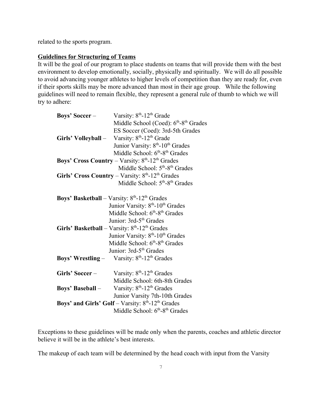related to the sports program.

#### **Guidelines for Structuring of Teams**

It will be the goal of our program to place students on teams that will provide them with the best environment to develop emotionally, socially, physically and spiritually. We will do all possible to avoid advancing younger athletes to higher levels of competition than they are ready for, even if their sports skills may be more advanced than most in their age group. While the following guidelines will need to remain flexible, they represent a general rule of thumb to which we will try to adhere:

| <b>Boys' Soccer -</b> | Varsity: 8 <sup>th</sup> -12 <sup>th</sup> Grade                       |
|-----------------------|------------------------------------------------------------------------|
|                       | Middle School (Coed): 6 <sup>th</sup> -8 <sup>th</sup> Grades          |
|                       | ES Soccer (Coed): 3rd-5th Grades                                       |
|                       | <b>Girls' Volleyball</b> – Varsity: $8th$ -12 <sup>th</sup> Grade      |
|                       | Junior Varsity: 8 <sup>th</sup> -10 <sup>th</sup> Grades               |
|                       | Middle School: 6 <sup>th</sup> -8 <sup>th</sup> Grades                 |
|                       | <b>Boys' Cross Country</b> – Varsity: $8th$ -12 <sup>th</sup> Grades   |
|                       | Middle School: 5 <sup>th</sup> -8 <sup>th</sup> Grades                 |
|                       | Girls' Cross Country – Varsity: $8th$ -12 <sup>th</sup> Grades         |
|                       | Middle School: 5 <sup>th</sup> -8 <sup>th</sup> Grades                 |
|                       |                                                                        |
|                       | <b>Boys' Basketball</b> – Varsity: $8th$ -12 <sup>th</sup> Grades      |
|                       | Junior Varsity: 8 <sup>th</sup> -10 <sup>th</sup> Grades               |
|                       | Middle School: 6 <sup>th</sup> -8 <sup>th</sup> Grades                 |
|                       | Junior: 3rd-5 <sup>th</sup> Grades                                     |
|                       | Girls' Basketball - Varsity: $8th$ -12 <sup>th</sup> Grades            |
|                       | Junior Varsity: 8 <sup>th</sup> -10 <sup>th</sup> Grades               |
|                       | Middle School: 6 <sup>th</sup> -8 <sup>th</sup> Grades                 |
|                       | Junior: 3rd-5 <sup>th</sup> Grades                                     |
|                       | <b>Boys' Wrestling</b> - Varsity: $8th$ -12 <sup>th</sup> Grades       |
| Girls' Soccer –       | Varsity: 8 <sup>th</sup> -12 <sup>th</sup> Grades                      |
|                       | Middle School: 6th-8th Grades                                          |
| Boys' Baseball –      | Varsity: 8 <sup>th</sup> -12 <sup>th</sup> Grades                      |
|                       | Junior Varsity 7th-10th Grades                                         |
|                       | <b>Boys' and Girls' Golf</b> – Varsity: $8th$ -12 <sup>th</sup> Grades |
|                       | Middle School: 6 <sup>th</sup> -8 <sup>th</sup> Grades                 |

Exceptions to these guidelines will be made only when the parents, coaches and athletic director believe it will be in the athlete's best interests.

The makeup of each team will be determined by the head coach with input from the Varsity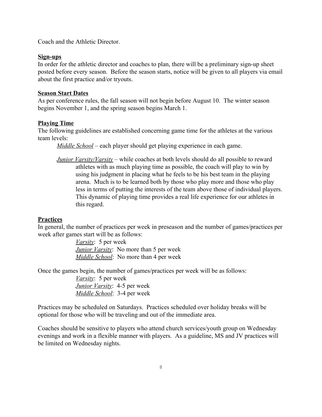Coach and the Athletic Director.

#### **Sign-ups**

In order for the athletic director and coaches to plan, there will be a preliminary sign-up sheet posted before every season. Before the season starts, notice will be given to all players via email about the first practice and/or tryouts.

#### **Season Start Dates**

As per conference rules, the fall season will not begin before August 10. The winter season begins November 1, and the spring season begins March 1.

#### **Playing Time**

The following guidelines are established concerning game time for the athletes at the various team levels:

*Middle School* – each player should get playing experience in each game.

*Junior Varsity/Varsity* – while coaches at both levels should do all possible to reward athletes with as much playing time as possible, the coach will play to win by using his judgment in placing what he feels to be his best team in the playing arena. Much is to be learned both by those who play more and those who play less in terms of putting the interests of the team above those of individual players. This dynamic of playing time provides a real life experience for our athletes in this regard.

#### **Practices**

In general, the number of practices per week in preseason and the number of games/practices per week after games start will be as follows:

> *Varsity*: 5 per week *Junior Varsity*: No more than 5 per week *Middle School*: No more than 4 per week

Once the games begin, the number of games/practices per week will be as follows:

*Varsity*: 5 per week *Junior Varsity*: 4-5 per week *Middle School*: 3-4 per week

Practices may be scheduled on Saturdays. Practices scheduled over holiday breaks will be optional for those who will be traveling and out of the immediate area.

Coaches should be sensitive to players who attend church services/youth group on Wednesday evenings and work in a flexible manner with players. As a guideline, MS and JV practices will be limited on Wednesday nights.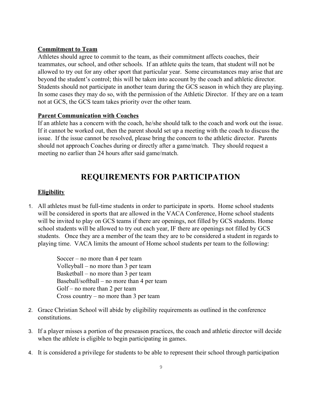#### **Commitment to Team**

Athletes should agree to commit to the team, as their commitment affects coaches, their teammates, our school, and other schools. If an athlete quits the team, that student will not be allowed to try out for any other sport that particular year. Some circumstances may arise that are beyond the student's control; this will be taken into account by the coach and athletic director. Students should not participate in another team during the GCS season in which they are playing. In some cases they may do so, with the permission of the Athletic Director. If they are on a team not at GCS, the GCS team takes priority over the other team.

#### **Parent Communication with Coaches**

If an athlete has a concern with the coach, he/she should talk to the coach and work out the issue. If it cannot be worked out, then the parent should set up a meeting with the coach to discuss the issue. If the issue cannot be resolved, please bring the concern to the athletic director. Parents should not approach Coaches during or directly after a game/match. They should request a meeting no earlier than 24 hours after said game/match.

## **REQUIREMENTS FOR PARTICIPATION**

#### **Eligibility**

1. All athletes must be full-time students in order to participate in sports. Home school students will be considered in sports that are allowed in the VACA Conference, Home school students will be invited to play on GCS teams if there are openings, not filled by GCS students. Home school students will be allowed to try out each year, IF there are openings not filled by GCS students. Once they are a member of the team they are to be considered a student in regards to playing time. VACA limits the amount of Home school students per team to the following:

> Soccer – no more than 4 per team Volleyball – no more than 3 per team Basketball – no more than 3 per team Baseball/softball – no more than 4 per team Golf – no more than 2 per team Cross country – no more than 3 per team

- 2. Grace Christian School will abide by eligibility requirements as outlined in the conference constitutions.
- 3. If a player misses a portion of the preseason practices, the coach and athletic director will decide when the athlete is eligible to begin participating in games.
- 4. It is considered a privilege for students to be able to represent their school through participation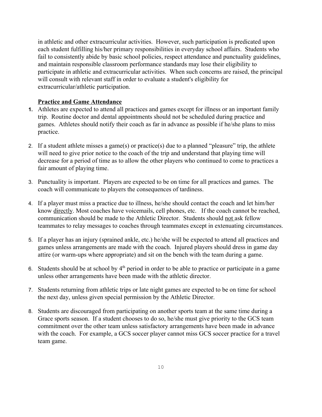in athletic and other extracurricular activities. However, such participation is predicated upon each student fulfilling his/her primary responsibilities in everyday school affairs. Students who fail to consistently abide by basic school policies, respect attendance and punctuality guidelines, and maintain responsible classroom performance standards may lose their eligibility to participate in athletic and extracurricular activities. When such concerns are raised, the principal will consult with relevant staff in order to evaluate a student's eligibility for extracurricular/athletic participation.

#### **Practice and Game Attendance**

- **1.** Athletes are expected to attend all practices and games except for illness or an important family trip. Routine doctor and dental appointments should not be scheduled during practice and games. Athletes should notify their coach as far in advance as possible if he/she plans to miss practice.
- 2. If a student athlete misses a game(s) or practice(s) due to a planned "pleasure" trip, the athlete will need to give prior notice to the coach of the trip and understand that playing time will decrease for a period of time as to allow the other players who continued to come to practices a fair amount of playing time.
- 3. Punctuality is important. Players are expected to be on time for all practices and games. The coach will communicate to players the consequences of tardiness.
- 4. If a player must miss a practice due to illness, he/she should contact the coach and let him/her know directly. Most coaches have voicemails, cell phones, etc. If the coach cannot be reached, communication should be made to the Athletic Director. Students should not ask fellow teammates to relay messages to coaches through teammates except in extenuating circumstances.
- 5. If a player has an injury (sprained ankle, etc.) he/she will be expected to attend all practices and games unless arrangements are made with the coach. Injured players should dress in game day attire (or warm-ups where appropriate) and sit on the bench with the team during a game.
- 6. Students should be at school by  $4<sup>th</sup>$  period in order to be able to practice or participate in a game unless other arrangements have been made with the athletic director.
- 7. Students returning from athletic trips or late night games are expected to be on time for school the next day, unless given special permission by the Athletic Director.
- 8. Students are discouraged from participating on another sports team at the same time during a Grace sports season. If a student chooses to do so, he/she must give priority to the GCS team commitment over the other team unless satisfactory arrangements have been made in advance with the coach. For example, a GCS soccer player cannot miss GCS soccer practice for a travel team game.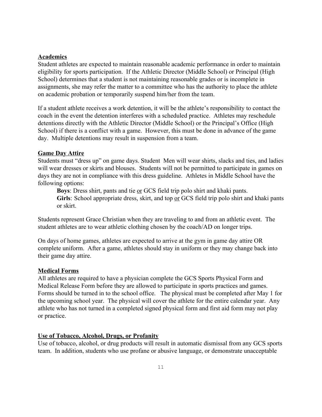#### **Academics**

Student athletes are expected to maintain reasonable academic performance in order to maintain eligibility for sports participation. If the Athletic Director (Middle School) or Principal (High School) determines that a student is not maintaining reasonable grades or is incomplete in assignments, she may refer the matter to a committee who has the authority to place the athlete on academic probation or temporarily suspend him/her from the team.

If a student athlete receives a work detention, it will be the athlete's responsibility to contact the coach in the event the detention interferes with a scheduled practice. Athletes may reschedule detentions directly with the Athletic Director (Middle School) or the Principal's Office (High School) if there is a conflict with a game. However, this must be done in advance of the game day. Multiple detentions may result in suspension from a team.

#### **Game Day Attire**

Students must "dress up" on game days. Student Men will wear shirts, slacks and ties, and ladies will wear dresses or skirts and blouses. Students will not be permitted to participate in games on days they are not in compliance with this dress guideline. Athletes in Middle School have the following options:

**Boys**: Dress shirt, pants and tie or GCS field trip polo shirt and khaki pants. **Girls**: School appropriate dress, skirt, and top or GCS field trip polo shirt and khaki pants or skirt.

Students represent Grace Christian when they are traveling to and from an athletic event. The student athletes are to wear athletic clothing chosen by the coach/AD on longer trips.

On days of home games, athletes are expected to arrive at the gym in game day attire OR complete uniform. After a game, athletes should stay in uniform or they may change back into their game day attire.

#### **Medical Forms**

All athletes are required to have a physician complete the GCS Sports Physical Form and Medical Release Form before they are allowed to participate in sports practices and games. Forms should be turned in to the school office. The physical must be completed after May 1 for the upcoming school year. The physical will cover the athlete for the entire calendar year. Any athlete who has not turned in a completed signed physical form and first aid form may not play or practice.

#### **Use of Tobacco, Alcohol, Drugs, or Profanity**

Use of tobacco, alcohol, or drug products will result in automatic dismissal from any GCS sports team. In addition, students who use profane or abusive language, or demonstrate unacceptable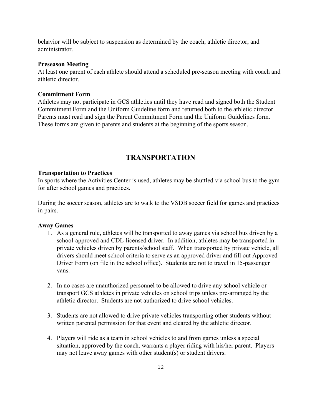behavior will be subject to suspension as determined by the coach, athletic director, and administrator.

#### **Preseason Meeting**

At least one parent of each athlete should attend a scheduled pre-season meeting with coach and athletic director.

#### **Commitment Form**

Athletes may not participate in GCS athletics until they have read and signed both the Student Commitment Form and the Uniform Guideline form and returned both to the athletic director. Parents must read and sign the Parent Commitment Form and the Uniform Guidelines form. These forms are given to parents and students at the beginning of the sports season.

### **TRANSPORTATION**

#### **Transportation to Practices**

In sports where the Activities Center is used, athletes may be shuttled via school bus to the gym for after school games and practices.

During the soccer season, athletes are to walk to the VSDB soccer field for games and practices in pairs.

#### **Away Games**

- 1. As a general rule, athletes will be transported to away games via school bus driven by a school-approved and CDL-licensed driver. In addition, athletes may be transported in private vehicles driven by parents/school staff. When transported by private vehicle, all drivers should meet school criteria to serve as an approved driver and fill out Approved Driver Form (on file in the school office). Students are not to travel in 15-passenger vans.
- 2. In no cases are unauthorized personnel to be allowed to drive any school vehicle or transport GCS athletes in private vehicles on school trips unless pre-arranged by the athletic director. Students are not authorized to drive school vehicles.
- 3. Students are not allowed to drive private vehicles transporting other students without written parental permission for that event and cleared by the athletic director.
- 4. Players will ride as a team in school vehicles to and from games unless a special situation, approved by the coach, warrants a player riding with his/her parent. Players may not leave away games with other student(s) or student drivers.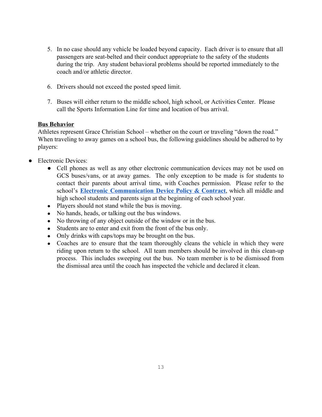- 5. In no case should any vehicle be loaded beyond capacity. Each driver is to ensure that all passengers are seat-belted and their conduct appropriate to the safety of the students during the trip. Any student behavioral problems should be reported immediately to the coach and/or athletic director.
- 6. Drivers should not exceed the posted speed limit.
- 7. Buses will either return to the middle school, high school, or Activities Center. Please call the Sports Information Line for time and location of bus arrival.

#### **Bus Behavior**

Athletes represent Grace Christian School – whether on the court or traveling "down the road." When traveling to away games on a school bus, the following guidelines should be adhered to by players:

- **Electronic Devices:** 
	- Cell phones as well as any other electronic communication devices may not be used on GCS buses/vans, or at away games. The only exception to be made is for students to contact their parents about arrival time, with Coaches permission. Please refer to the school's **Electronic [Communication](http://www.gcswarriors.org/editoruploads/files/2018-2019%20Updates/MS-HS_Cell_Phone_Policy___Contract_2019-2020__2019-06-24_(1).pdf) Device Policy & Contract**, which all middle and high school students and parents sign at the beginning of each school year.
	- Players should not stand while the bus is moving.
	- No hands, heads, or talking out the bus windows.
	- No throwing of any object outside of the window or in the bus.
	- Students are to enter and exit from the front of the bus only.
	- Only drinks with caps/tops may be brought on the bus.
	- Coaches are to ensure that the team thoroughly cleans the vehicle in which they were riding upon return to the school. All team members should be involved in this clean-up process. This includes sweeping out the bus. No team member is to be dismissed from the dismissal area until the coach has inspected the vehicle and declared it clean.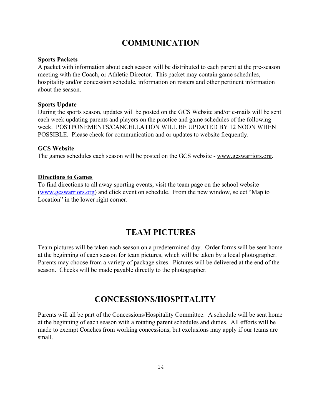## **COMMUNICATION**

#### **Sports Packets**

A packet with information about each season will be distributed to each parent at the pre-season meeting with the Coach, or Athletic Director. This packet may contain game schedules, hospitality and/or concession schedule, information on rosters and other pertinent information about the season.

#### **Sports Update**

During the sports season, updates will be posted on the GCS Website and/or e-mails will be sent each week updating parents and players on the practice and game schedules of the following week. POSTPONEMENTS/CANCELLATION WILL BE UPDATED BY 12 NOON WHEN POSSIBLE. Please check for communication and or updates to website frequently.

#### **GCS Website**

The games schedules each season will be posted on the GCS website - [www.gcswarriors.org.](http://www.gcswarriors.org/)

#### **Directions to Games**

To find directions to all away sporting events, visit the team page on the school website ([www.gcswarriors.org\)](http://www.gcswarriors.org/) and click event on schedule. From the new window, select "Map to Location" in the lower right corner.

## **TEAM PICTURES**

Team pictures will be taken each season on a predetermined day. Order forms will be sent home at the beginning of each season for team pictures, which will be taken by a local photographer. Parents may choose from a variety of package sizes. Pictures will be delivered at the end of the season. Checks will be made payable directly to the photographer.

## **CONCESSIONS/HOSPITALITY**

Parents will all be part of the Concessions/Hospitality Committee. A schedule will be sent home at the beginning of each season with a rotating parent schedules and duties. All efforts will be made to exempt Coaches from working concessions, but exclusions may apply if our teams are small.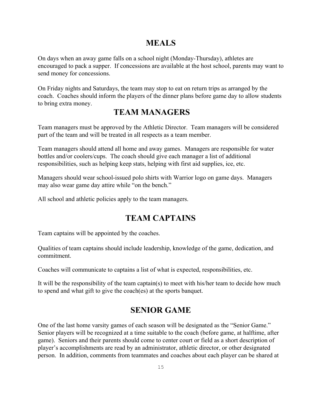## **MEALS**

On days when an away game falls on a school night (Monday-Thursday), athletes are encouraged to pack a supper. If concessions are available at the host school, parents may want to send money for concessions.

On Friday nights and Saturdays, the team may stop to eat on return trips as arranged by the coach. Coaches should inform the players of the dinner plans before game day to allow students to bring extra money.

## **TEAM MANAGERS**

Team managers must be approved by the Athletic Director. Team managers will be considered part of the team and will be treated in all respects as a team member.

Team managers should attend all home and away games. Managers are responsible for water bottles and/or coolers/cups. The coach should give each manager a list of additional responsibilities, such as helping keep stats, helping with first aid supplies, ice, etc.

Managers should wear school-issued polo shirts with Warrior logo on game days. Managers may also wear game day attire while "on the bench."

All school and athletic policies apply to the team managers.

## **TEAM CAPTAINS**

Team captains will be appointed by the coaches.

Qualities of team captains should include leadership, knowledge of the game, dedication, and commitment.

Coaches will communicate to captains a list of what is expected, responsibilities, etc.

It will be the responsibility of the team captain(s) to meet with his/her team to decide how much to spend and what gift to give the coach(es) at the sports banquet.

## **SENIOR GAME**

One of the last home varsity games of each season will be designated as the "Senior Game." Senior players will be recognized at a time suitable to the coach (before game, at halftime, after game). Seniors and their parents should come to center court or field as a short description of player's accomplishments are read by an administrator, athletic director, or other designated person. In addition, comments from teammates and coaches about each player can be shared at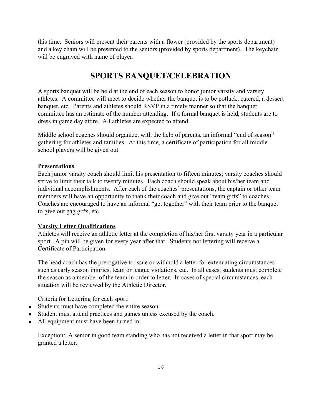this time. Seniors will present their parents with a flower (provided by the sports department) and a key chain will be presented to the seniors (provided by sports department). The keychain will be engraved with name of player.

## **SPORTS BANQUET/CELEBRATION**

A sports banquet will be held at the end of each season to honor junior varsity and varsity athletes. A committee will meet to decide whether the banquet is to be potluck, catered, a dessert banquet, etc. Parents and athletes should RSVP in a timely manner so that the banquet committee has an estimate of the number attending. If a formal banquet is held, students are to dress in game day attire. All athletes are expected to attend.

Middle school coaches should organize, with the help of parents, an informal "end of season" gathering for athletes and families. At this time, a certificate of participation for all middle school players will be given out.

#### **Presentations**

Each junior varsity coach should limit his presentation to fifteen minutes; varsity coaches should strive to limit their talk to twenty minutes. Each coach should speak about his/her team and individual accomplishments. After each of the coaches' presentations, the captain or other team members will have an opportunity to thank their coach and give out "team gifts" to coaches. Coaches are encouraged to have an informal "get together" with their team prior to the banquet to give out gag gifts, etc.

#### **Varsity Letter Qualifications**

Athletes will receive an athletic letter at the completion of his/her first varsity year in a particular sport. A pin will be given for every year after that. Students not lettering will receive a Certificate of Participation.

The head coach has the prerogative to issue or withhold a letter for extenuating circumstances such as early season injuries, team or league violations, etc. In all cases, students must complete the season as a member of the team in order to letter. In cases of special circumstances, each situation will be reviewed by the Athletic Director.

Criteria for Lettering for each sport:

- Students must have completed the entire season.
- Student must attend practices and games unless excused by the coach.
- All equipment must have been turned in.

Exception: A senior in good team standing who has not received a letter in that sport may be granted a letter.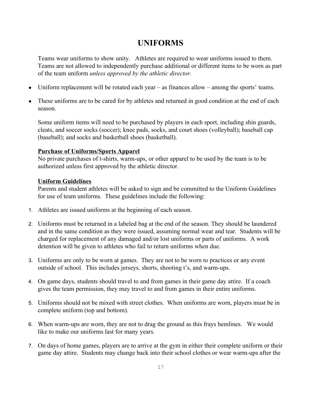## **UNIFORMS**

Teams wear uniforms to show unity. Athletes are required to wear uniforms issued to them. Teams are not allowed to independently purchase additional or different items to be worn as part of the team uniform *unless approved by the athletic director.*

- Uniform replacement will be rotated each year  $-$  as finances allow  $-$  among the sports' teams.
- These uniforms are to be cared for by athletes and returned in good condition at the end of each season.

Some uniform items will need to be purchased by players in each sport, including shin guards, cleats, and soccer socks (soccer); knee pads, socks, and court shoes (volleyball); baseball cap (baseball); and socks and basketball shoes (basketball).

#### **Purchase of Uniforms/Sports Apparel**

No private purchases of t-shirts, warm-ups, or other apparel to be used by the team is to be authorized unless first approved by the athletic director.

#### **Uniform Guidelines**

Parents and student athletes will be asked to sign and be committed to the Uniform Guidelines for use of team uniforms. These guidelines include the following:

- 1. Athletes are issued uniforms at the beginning of each season.
- 2. Uniforms must be returned in a labeled bag at the end of the season. They should be laundered and in the same condition as they were issued, assuming normal wear and tear. Students will be charged for replacement of any damaged and/or lost uniforms or parts of uniforms. A work detention will be given to athletes who fail to return uniforms when due.
- 3. Uniforms are only to be worn at games. They are not to be worn to practices or any event outside of school. This includes jerseys, shorts, shooting t's, and warm-ups.
- 4. On game days, students should travel to and from games in their game day attire. If a coach gives the team permission, they may travel to and from games in their entire uniforms.
- 5. Uniforms should not be mixed with street clothes. When uniforms are worn, players must be in complete uniform (top and bottom).
- 6. When warm-ups are worn, they are not to drag the ground as this frays hemlines. We would like to make our uniforms last for many years.
- 7. On days of home games, players are to arrive at the gym in either their complete uniform or their game day attire. Students may change back into their school clothes or wear warm-ups after the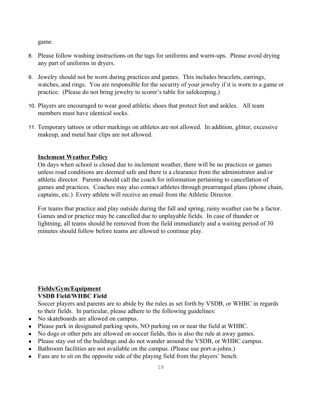game.

- 8. Please follow washing instructions on the tags for uniforms and warm-ups. Please avoid drying any part of uniforms in dryers.
- 9. Jewelry should not be worn during practices and games. This includes bracelets, earrings, watches, and rings. You are responsible for the security of your jewelry if it is worn to a game or practice. (Please do not bring jewelry to scorer's table for safekeeping.)
- 10. Players are encouraged to wear good athletic shoes that protect feet and ankles. All team members must have identical socks.
- 11. Temporary tattoos or other markings on athletes are not allowed. In addition, glitter, excessive makeup, and metal hair clips are not allowed.

#### **Inclement Weather Policy**

On days when school is closed due to inclement weather, there will be no practices or games unless road conditions are deemed safe and there is a clearance from the administrator and/or athletic director. Parents should call the coach for information pertaining to cancellation of games and practices. Coaches may also contact athletes through prearranged plans (phone chain, captains, etc.) Every athlete will receive an email from the Athletic Director.

For teams that practice and play outside during the fall and spring, rainy weather can be a factor. Games and/or practice may be cancelled due to unplayable fields. In case of thunder or lightning, all teams should be removed from the field immediately and a waiting period of 30 minutes should follow before teams are allowed to continue play.

#### **Fields/Gym/Equipment VSDB Field/WHBC Field**

Soccer players and parents are to abide by the rules as set forth by VSDB, or WHBC in regards to their fields. In particular, please adhere to the following guidelines:

- No skateboards are allowed on campus.
- Please park in designated parking spots, NO parking on or near the field at WHBC.
- No dogs or other pets are allowed on soccer fields, this is also the rule at away games.
- Please stay out of the buildings and do not wander around the VSDB, or WHBC campus.
- Bathroom facilities are not available on the campus. (Please use port-a-johns.)
- Fans are to sit on the opposite side of the playing field from the players' bench.